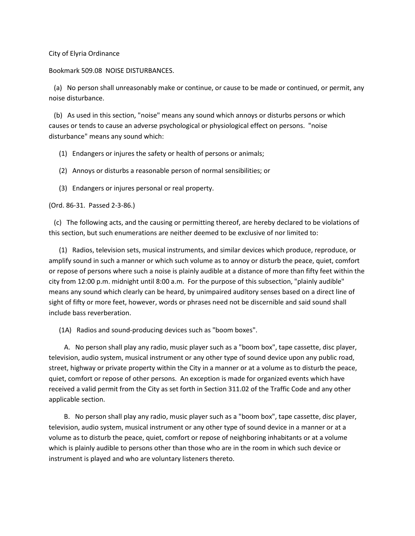## City of Elyria Ordinance

## Bookmark 509.08 NOISE DISTURBANCES.

 (a) No person shall unreasonably make or continue, or cause to be made or continued, or permit, any noise disturbance.

 (b) As used in this section, "noise" means any sound which annoys or disturbs persons or which causes or tends to cause an adverse psychological or physiological effect on persons. "noise disturbance" means any sound which:

(1) Endangers or injures the safety or health of persons or animals;

- (2) Annoys or disturbs a reasonable person of normal sensibilities; or
- (3) Endangers or injures personal or real property.

(Ord. 86-31. Passed 2-3-86.)

 (c) The following acts, and the causing or permitting thereof, are hereby declared to be violations of this section, but such enumerations are neither deemed to be exclusive of nor limited to:

 (1) Radios, television sets, musical instruments, and similar devices which produce, reproduce, or amplify sound in such a manner or which such volume as to annoy or disturb the peace, quiet, comfort or repose of persons where such a noise is plainly audible at a distance of more than fifty feet within the city from 12:00 p.m. midnight until 8:00 a.m. For the purpose of this subsection, "plainly audible" means any sound which clearly can be heard, by unimpaired auditory senses based on a direct line of sight of fifty or more feet, however, words or phrases need not be discernible and said sound shall include bass reverberation.

(1A) Radios and sound-producing devices such as "boom boxes".

 A. No person shall play any radio, music player such as a "boom box", tape cassette, disc player, television, audio system, musical instrument or any other type of sound device upon any public road, street, highway or private property within the City in a manner or at a volume as to disturb the peace, quiet, comfort or repose of other persons. An exception is made for organized events which have received a valid permit from the City as set forth in Section 311.02 of the Traffic Code and any other applicable section.

 B. No person shall play any radio, music player such as a "boom box", tape cassette, disc player, television, audio system, musical instrument or any other type of sound device in a manner or at a volume as to disturb the peace, quiet, comfort or repose of neighboring inhabitants or at a volume which is plainly audible to persons other than those who are in the room in which such device or instrument is played and who are voluntary listeners thereto.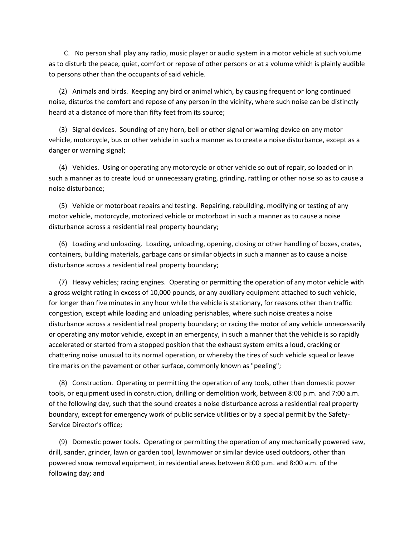C. No person shall play any radio, music player or audio system in a motor vehicle at such volume as to disturb the peace, quiet, comfort or repose of other persons or at a volume which is plainly audible to persons other than the occupants of said vehicle.

 (2) Animals and birds. Keeping any bird or animal which, by causing frequent or long continued noise, disturbs the comfort and repose of any person in the vicinity, where such noise can be distinctly heard at a distance of more than fifty feet from its source;

 (3) Signal devices. Sounding of any horn, bell or other signal or warning device on any motor vehicle, motorcycle, bus or other vehicle in such a manner as to create a noise disturbance, except as a danger or warning signal;

 (4) Vehicles. Using or operating any motorcycle or other vehicle so out of repair, so loaded or in such a manner as to create loud or unnecessary grating, grinding, rattling or other noise so as to cause a noise disturbance;

 (5) Vehicle or motorboat repairs and testing. Repairing, rebuilding, modifying or testing of any motor vehicle, motorcycle, motorized vehicle or motorboat in such a manner as to cause a noise disturbance across a residential real property boundary;

 (6) Loading and unloading. Loading, unloading, opening, closing or other handling of boxes, crates, containers, building materials, garbage cans or similar objects in such a manner as to cause a noise disturbance across a residential real property boundary;

 (7) Heavy vehicles; racing engines. Operating or permitting the operation of any motor vehicle with a gross weight rating in excess of 10,000 pounds, or any auxiliary equipment attached to such vehicle, for longer than five minutes in any hour while the vehicle is stationary, for reasons other than traffic congestion, except while loading and unloading perishables, where such noise creates a noise disturbance across a residential real property boundary; or racing the motor of any vehicle unnecessarily or operating any motor vehicle, except in an emergency, in such a manner that the vehicle is so rapidly accelerated or started from a stopped position that the exhaust system emits a loud, cracking or chattering noise unusual to its normal operation, or whereby the tires of such vehicle squeal or leave tire marks on the pavement or other surface, commonly known as "peeling";

 (8) Construction. Operating or permitting the operation of any tools, other than domestic power tools, or equipment used in construction, drilling or demolition work, between 8:00 p.m. and 7:00 a.m. of the following day, such that the sound creates a noise disturbance across a residential real property boundary, except for emergency work of public service utilities or by a special permit by the Safety-Service Director's office;

 (9) Domestic power tools. Operating or permitting the operation of any mechanically powered saw, drill, sander, grinder, lawn or garden tool, lawnmower or similar device used outdoors, other than powered snow removal equipment, in residential areas between 8:00 p.m. and 8:00 a.m. of the following day; and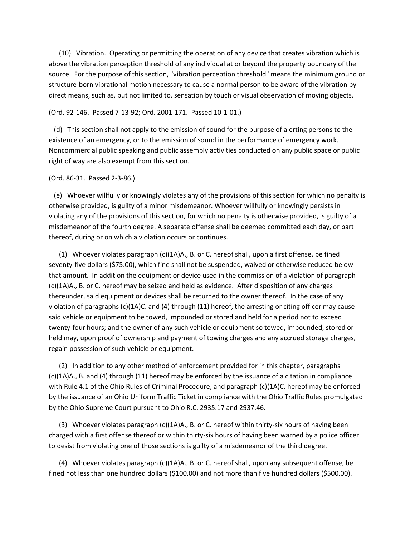(10) Vibration. Operating or permitting the operation of any device that creates vibration which is above the vibration perception threshold of any individual at or beyond the property boundary of the source. For the purpose of this section, "vibration perception threshold" means the minimum ground or structure-born vibrational motion necessary to cause a normal person to be aware of the vibration by direct means, such as, but not limited to, sensation by touch or visual observation of moving objects.

## (Ord. 92-146. Passed 7-13-92; Ord. 2001-171. Passed 10-1-01.)

 (d) This section shall not apply to the emission of sound for the purpose of alerting persons to the existence of an emergency, or to the emission of sound in the performance of emergency work. Noncommercial public speaking and public assembly activities conducted on any public space or public right of way are also exempt from this section.

## (Ord. 86-31. Passed 2-3-86.)

 (e) Whoever willfully or knowingly violates any of the provisions of this section for which no penalty is otherwise provided, is guilty of a minor misdemeanor. Whoever willfully or knowingly persists in violating any of the provisions of this section, for which no penalty is otherwise provided, is guilty of a misdemeanor of the fourth degree. A separate offense shall be deemed committed each day, or part thereof, during or on which a violation occurs or continues.

 (1) Whoever violates paragraph (c)(1A)A., B. or C. hereof shall, upon a first offense, be fined seventy-five dollars (\$75.00), which fine shall not be suspended, waived or otherwise reduced below that amount. In addition the equipment or device used in the commission of a violation of paragraph (c)(1A)A., B. or C. hereof may be seized and held as evidence. After disposition of any charges thereunder, said equipment or devices shall be returned to the owner thereof. In the case of any violation of paragraphs (c)(1A)C. and (4) through (11) hereof, the arresting or citing officer may cause said vehicle or equipment to be towed, impounded or stored and held for a period not to exceed twenty-four hours; and the owner of any such vehicle or equipment so towed, impounded, stored or held may, upon proof of ownership and payment of towing charges and any accrued storage charges, regain possession of such vehicle or equipment.

 (2) In addition to any other method of enforcement provided for in this chapter, paragraphs (c)(1A)A., B. and (4) through (11) hereof may be enforced by the issuance of a citation in compliance with Rule 4.1 of the Ohio Rules of Criminal Procedure, and paragraph (c)(1A)C. hereof may be enforced by the issuance of an Ohio Uniform Traffic Ticket in compliance with the Ohio Traffic Rules promulgated by the Ohio Supreme Court pursuant to Ohio R.C. 2935.17 and 2937.46.

 (3) Whoever violates paragraph (c)(1A)A., B. or C. hereof within thirty-six hours of having been charged with a first offense thereof or within thirty-six hours of having been warned by a police officer to desist from violating one of those sections is guilty of a misdemeanor of the third degree.

 (4) Whoever violates paragraph (c)(1A)A., B. or C. hereof shall, upon any subsequent offense, be fined not less than one hundred dollars (\$100.00) and not more than five hundred dollars (\$500.00).